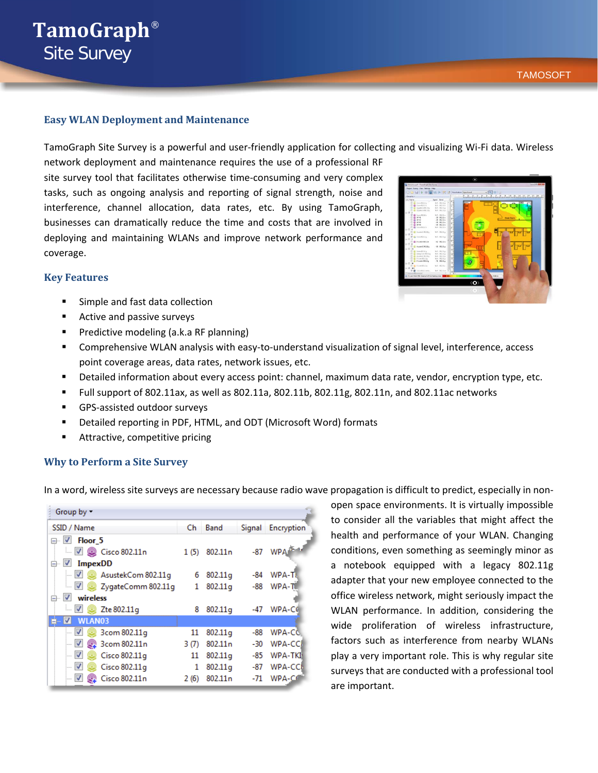# **TamoGraph**® Site Survey

# **Easy WLAN Deployment and Maintenance**

TamoGraph Site Survey is a powerful and user-friendly application for collecting and visualizing Wi-Fi data. Wireless

network deployment and maintenance requires the use of a professional RF site survey tool that facilitates otherwise time-consuming and very complex tasks, such as ongoing analysis and reporting of signal strength, noise and interference, channel allocation, data rates, etc. By using TamoGraph, businesses can dramatically reduce the time and costs that are involved in deploying and maintaining WLANs and improve network performance and coverage.

# **Key Features**

- Simple and fast data collection
- **Active and passive surveys**
- **Predictive modeling (a.k.a RF planning)**
- Comprehensive WLAN analysis with easy-to-understand visualization of signal level, interference, access point coverage areas, data rates, network issues, etc.
- Detailed information about every access point: channel, maximum data rate, vendor, encryption type, etc.
- Full support of 802.11ax, as well as 802.11a, 802.11b, 802.11g, 802.11n, and 802.11ac networks
- GPS-assisted outdoor surveys
- Detailed reporting in PDF, HTML, and ODT (Microsoft Word) formats
- Attractive, competitive pricing

# **Why to Perform a Site Survey**

In a word, wireless site surveys are necessary because radio wave propagation is difficult to predict, especially in non-

| Group by -                                 |       |                     |     |                      |
|--------------------------------------------|-------|---------------------|-----|----------------------|
| SSID / Name                                | Ch    | Band                |     | Signal Encryption    |
| ⊟ <u>V</u> Floor 5                         |       |                     |     |                      |
| $\Box$ 2 $\odot$ Cisco 802.11n             | 1(5)  | 802.11 <sub>n</sub> |     | -87 WPA <sup>5</sup> |
| $\sqrt{}$<br><b>ImpexDD</b><br>F .         |       |                     |     |                      |
| $\blacktriangledown$<br>AsustekCom 802.11g | 6     | 802.11g             | -84 | WPA-T                |
| $\Box$ 2ygateComm 802.11g                  | 1     | 802.11g             | -88 | <b>WPA-T</b>         |
| $\overline{\mathcal{A}}$<br>wireless<br>⊟… |       |                     |     |                      |
| $\Box$ $\Box$ $\Box$ Zte 802.11g           | 8     | 802.11g             | -47 | WPA-CC               |
| √<br>WLAN03<br>$\blacksquare$              |       |                     |     |                      |
| √<br>3com 802.11g                          | 11    | 802.11g             | -88 | WPA-CC               |
| √<br>2 3com 802.11n                        | 3 (7) | 802.11 <sub>n</sub> | -30 | WPA-CCI              |
| $\blacktriangledown$<br>Cisco 802.11q      | 11    | 802.11q             | -85 | WPA-TKI              |
| $\blacktriangledown$<br>Cisco 802.11q      | 1     | 802.11g             | -87 | <b>WPA-CCB</b>       |
| $\blacktriangledown$<br>Cisco 802.11n      | 2(6)  | 802.11 <sub>n</sub> | -71 | WPA-C6               |

open space environments. It is virtually impossible to consider all the variables that might affect the health and performance of your WLAN. Changing conditions, even something as seemingly minor as a notebook equipped with a legacy 802.11g adapter that your new employee connected to the office wireless network, might seriously impact the WLAN performance. In addition, considering the wide proliferation of wireless infrastructure, factors such as interference from nearby WLANs play a very important role. This is why regular site surveys that are conducted with a professional tool are important.

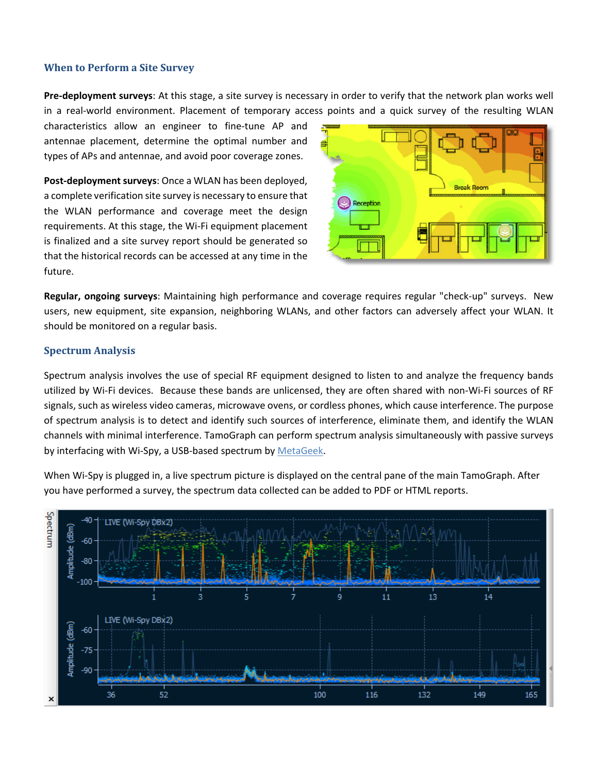# **When to Perform a Site Survey**

**Pre-deployment surveys**: At this stage, a site survey is necessary in order to verify that the network plan works well in a real-world environment. Placement of temporary access points and a quick survey of the resulting WLAN

characteristics allow an engineer to fine-tune AP and antennae placement, determine the optimal number and types of APs and antennae, and avoid poor coverage zones.

**Post-deployment surveys**: Once a WLAN has been deployed, a complete verification site survey is necessary to ensure that the WLAN performance and coverage meet the design requirements. At this stage, the Wi-Fi equipment placement is finalized and a site survey report should be generated so that the historical records can be accessed at any time in the future.



**Regular, ongoing surveys**: Maintaining high performance and coverage requires regular "check-up" surveys. New users, new equipment, site expansion, neighboring WLANs, and other factors can adversely affect your WLAN. It should be monitored on a regular basis.

# **Spectrum Analysis**

Spectrum analysis involves the use of special RF equipment designed to listen to and analyze the frequency bands utilized by Wi-Fi devices. Because these bands are unlicensed, they are often shared with non-Wi-Fi sources of RF signals, such as wireless video cameras, microwave ovens, or cordless phones, which cause interference. The purpose of spectrum analysis is to detect and identify such sources of interference, eliminate them, and identify the WLAN channels with minimal interference. TamoGraph can perform spectrum analysis simultaneously with passive surveys by interfacing with Wi-Spy, a USB-based spectrum by [MetaGeek.](http://www.metageek.net/products/wi-spy/)

When Wi-Spy is plugged in, a live spectrum picture is displayed on the central pane of the main TamoGraph. After you have performed a survey, the spectrum data collected can be added to PDF or HTML reports.